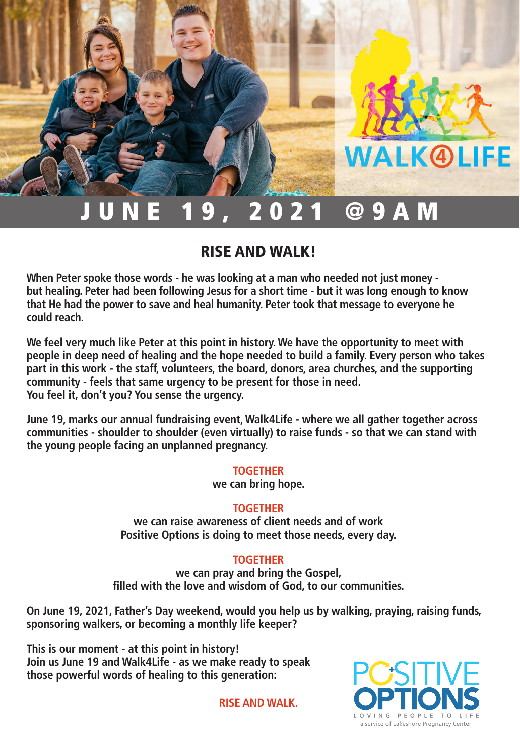## 9. 2021 @9AM

### RISE AND WALK!

**When Peter spoke those words - he was looking at a man who needed not just money but healing. Peter had been following Jesus for a short time - but it was long enough to know that He had the power to save and heal humanity. Peter took that message to everyone he could reach.** 

**We feel very much like Peter at this point in history. We have the opportunity to meet with people in deep need of healing and the hope needed to build a family. Every person who takes part in this work - the staff, volunteers, the board, donors, area churches, and the supporting community - feels that same urgency to be present for those in need. You feel it, don't you? You sense the urgency.**

**June 19, marks our annual fundraising event, Walk4Life - where we all gather together across communities - shoulder to shoulder (even virtually) to raise funds - so that we can stand with the young people facing an unplanned pregnancy.** 

#### **TOGETHER**

**we can bring hope.** 

#### **TOGETHER**

**we can raise awareness of client needs and of work Positive Options is doing to meet those needs, every day.** 

#### **TOGETHER**

**we can pray and bring the Gospel, filled with the love and wisdom of God, to our communities.** 

**On June 19, 2021, Father's Day weekend, would you help us by walking, praying, raising funds, sponsoring walkers, or becoming a monthly life keeper?** 

**This is our moment - at this point in history! Join us June 19 and Walk4Life - as we make ready to speak those powerful words of healing to this generation:**

**RISE AND WALK.**



**WALK@LIFE**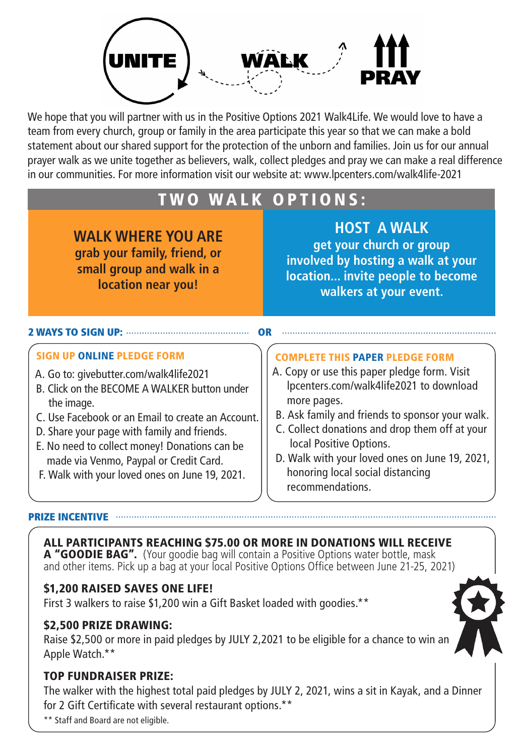

We hope that you will partner with us in the Positive Options 2021 Walk4Life. We would love to have a team from every church, group or family in the area participate this year so that we can make a bold statement about our shared support for the protection of the unborn and families. Join us for our annual prayer walk as we unite together as believers, walk, collect pledges and pray we can make a real difference in our communities. For more information visit our website at: www.lpcenters.com/walk4life-2021

## TWO WALK OPTIONS:

**WALK WHERE YOU ARE grab your family, friend, or small group and walk in a location near you!**

**HOST A WALK get your church or group involved by hosting a walk at your location... invite people to become walkers at your event.**

#### 2 WAYS TO SIGN UP: ....

#### SIGN UP ONLINE PLEDGE FORM

- A. Go to: givebutter.com/walk4life2021
- B. Click on the BECOME A WALKER button under the image.
- C. Use Facebook or an Email to create an Account.
- D. Share your page with family and friends.
- E. No need to collect money! Donations can be made via Venmo, Paypal or Credit Card.
- F. Walk with your loved ones on June 19, 2021.

#### COMPLETE THIS PAPER PLEDGE FORM

- A. Copy or use this paper pledge form. Visit lpcenters.com/walk4life2021 to download more pages.
- B. Ask family and friends to sponsor your walk.
- C. Collect donations and drop them off at your local Positive Options.
- D. Walk with your loved ones on June 19, 2021, honoring local social distancing recommendations.

#### PRIZE INCENTIVE

#### ALL PARTICIPANTS REACHING \$75.00 OR MORE IN DONATIONS WILL RECEIVE

A "GOODIE BAG". (Your goodie bag will contain a Positive Options water bottle, mask and other items. Pick up a bag at your local Positive Options Office between June 21-25, 2021)

#### \$1,200 RAISED SAVES ONE LIFE!

First 3 walkers to raise \$1,200 win a Gift Basket loaded with goodies.\*\*

#### \$2,500 PRIZE DRAWING:

Raise \$2,500 or more in paid pledges by JULY 2,2021 to be eligible for a chance to win an Apple Watch.\*\*

#### TOP FUNDRAISER PRIZE:

The walker with the highest total paid pledges by JULY 2, 2021, wins a sit in Kayak, and a Dinner for 2 Gift Certificate with several restaurant options.\*\*

\*\* Staff and Board are not eligible.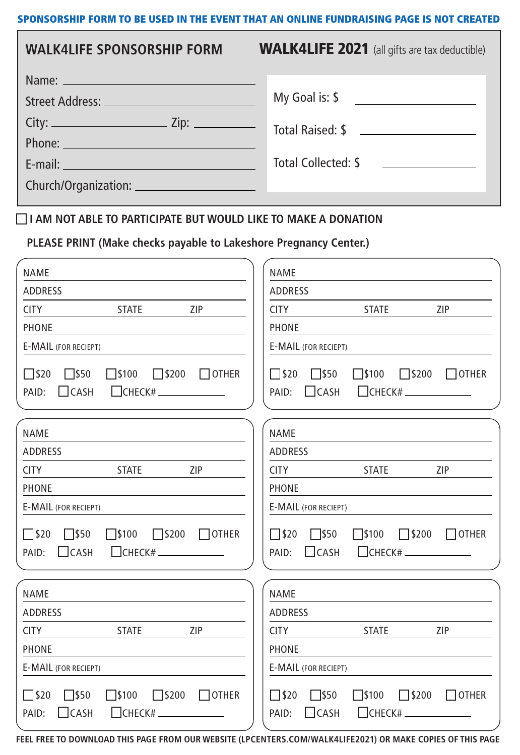#### SPONSORSHIP FORM TO BE USED IN THE EVENT THAT AN ONLINE FUNDRAISING PAGE IS NOT CREATED

| <b>WALK4LIFE SPONSORSHIP FORM</b>                                                                                                                                                                                                    | <b>WALK4LIFE 2021</b> (all gifts are tax deductible) |
|--------------------------------------------------------------------------------------------------------------------------------------------------------------------------------------------------------------------------------------|------------------------------------------------------|
|                                                                                                                                                                                                                                      | My Goal is: \$                                       |
|                                                                                                                                                                                                                                      |                                                      |
| Phone: <u>Communication</u>                                                                                                                                                                                                          |                                                      |
| E-mail: <u>Alexander Alexander Alexander Alexander Alexander Alexander Alexander Alexander Alexander Alexander Alexander Alexander Alexander Alexander Alexander Alexander Alexander Alexander Alexander Alexander Alexander Ale</u> | Total Collected: \$                                  |
|                                                                                                                                                                                                                                      |                                                      |

#### **I AM NOT ABLE TO PARTICIPATE BUT WOULD LIKE TO MAKE A DONATION**

**PLEASE PRINT (Make checks payable to Lakeshore Pregnancy Center.)**

| <b>NAME</b>                                                                                                                                                    | <b>NAME</b>                                                                                                                                                 |  |  |
|----------------------------------------------------------------------------------------------------------------------------------------------------------------|-------------------------------------------------------------------------------------------------------------------------------------------------------------|--|--|
| <b>ADDRESS</b>                                                                                                                                                 | <b>ADDRESS</b>                                                                                                                                              |  |  |
| ZIP<br><b>CITY</b><br><b>STATE</b>                                                                                                                             | <b>CITY</b><br><b>STATE</b><br>ZIP                                                                                                                          |  |  |
| PHONE                                                                                                                                                          | PHONE                                                                                                                                                       |  |  |
| <b>E-MAIL (FOR RECIEPT)</b>                                                                                                                                    | <b>E-MAIL (FOR RECIEPT)</b>                                                                                                                                 |  |  |
| $\square$ \$50<br>$\square$ \$100<br>$\Box$ \$200<br>$\square$ \$20<br>$\Box$ OTHER<br>$\bigcap$ CASH<br>$\Box$ CHECK# $\_\_\_\_\_\_\_\_\_\_\_\_\_\_$<br>PAID: | $\Box$ \$50<br>$\square$ \$20<br>$\square$ \$100<br>$\Box$ \$200<br>$\Box$ OTHER<br>$\bigcap$ CASH<br>$\Box$ CHECK# $\Box$<br>PAID:                         |  |  |
| <b>NAME</b>                                                                                                                                                    | <b>NAME</b>                                                                                                                                                 |  |  |
| <b>ADDRESS</b>                                                                                                                                                 | <b>ADDRESS</b>                                                                                                                                              |  |  |
| <b>CITY</b><br><b>STATE</b><br><b>ZIP</b>                                                                                                                      | <b>CITY</b><br><b>STATE</b><br>ZIP                                                                                                                          |  |  |
| PHONE                                                                                                                                                          | PHONE                                                                                                                                                       |  |  |
| <b>E-MAIL (FOR RECIEPT)</b>                                                                                                                                    | <b>E-MAIL (FOR RECIEPT)</b>                                                                                                                                 |  |  |
| $\Box$ \$50<br>$\square$ \$100<br>$\square$ \$200<br>$\Box$ \$20<br>$\Box$ OTHER<br>$\Box$ CHECK# $\_\_\_\_\_\_\_\_\_\_\_\_\_\_\_$<br>$\Box$ CASH<br>PAID:     | $\square$ \$50<br>$\square$ \$100<br>$\square$ \$200<br>$\Box$ \$20<br>$\Box$ OTHER<br>$\Box$ CHECK# $\_\_\_\_\_\_\_\_\_\_\_\_\_\_$<br>$\Box$ CASH<br>PAID: |  |  |
| <b>NAME</b>                                                                                                                                                    | <b>NAME</b>                                                                                                                                                 |  |  |
| <b>ADDRESS</b>                                                                                                                                                 | <b>ADDRESS</b>                                                                                                                                              |  |  |
| <b>CITY</b><br><b>STATE</b><br>ZIP                                                                                                                             | <b>STATE</b><br>ZIP<br><b>CITY</b>                                                                                                                          |  |  |
| <b>PHONE</b>                                                                                                                                                   | <b>PHONE</b>                                                                                                                                                |  |  |
| <b>E-MAIL (FOR RECIEPT)</b>                                                                                                                                    | E-MAIL (FOR RECIEPT)                                                                                                                                        |  |  |
| $\Box$ \$50<br>$\square$ \$100<br>$\square$ \$200<br>$\Box$ \$20<br>$\Box$ OTHER<br>$\Box$ CASH<br>$\Box$ CHECK#.<br>PAID:                                     | $\square$ \$50<br>$\square$ \$100<br>$\square$ \$200<br>$\Box$ \$20<br>$\Box$ OTHER<br>$\Box$ CASH<br>$\Box$ CHECK# $\Box$<br>PAID:                         |  |  |

**FEEL FREE TO DOWNLOAD THIS PAGE FROM OUR WEBSITE (LPCENTERS.COM/WALK4LIFE2021) OR MAKE COPIES OF THIS PAGE**